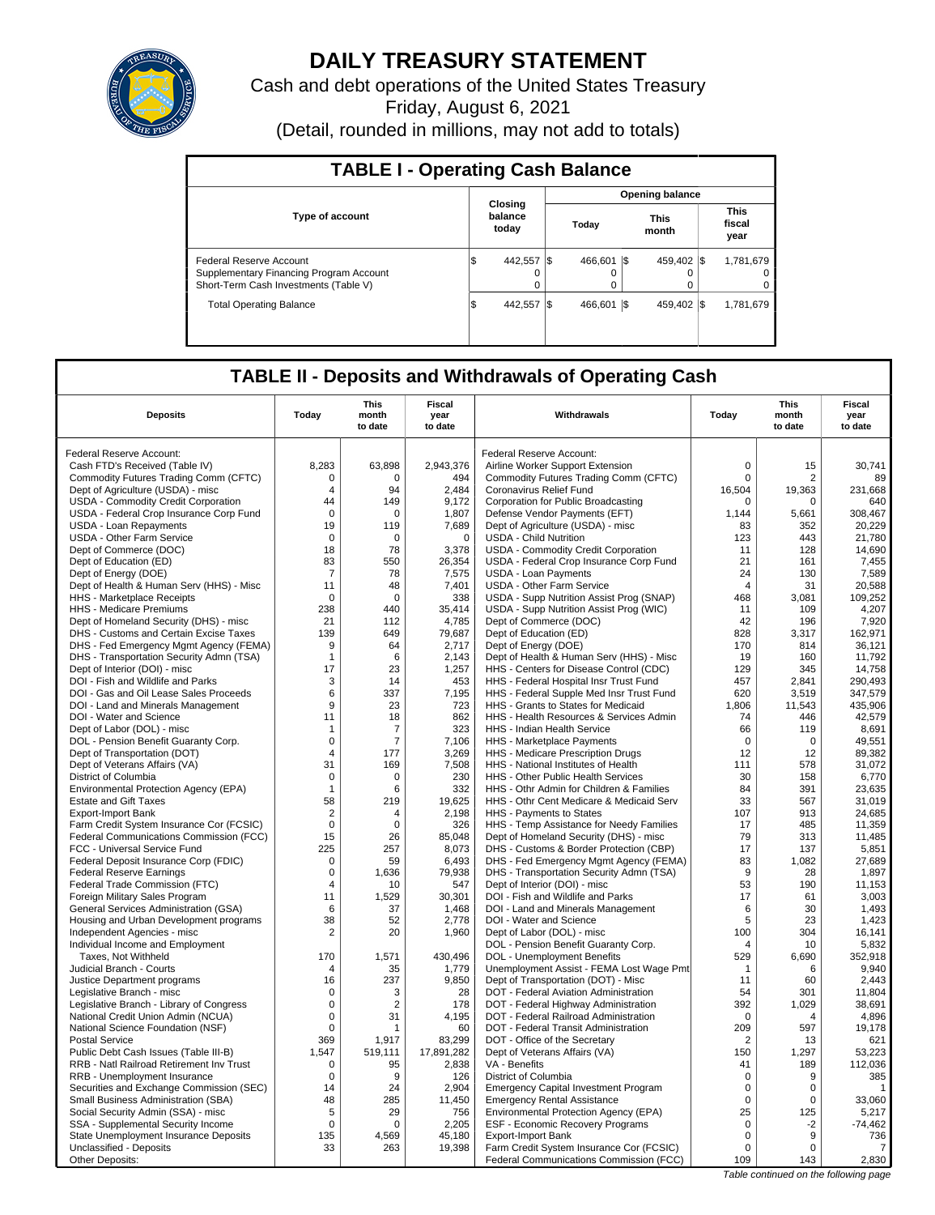

## **DAILY TREASURY STATEMENT**

Cash and debt operations of the United States Treasury Friday, August 6, 2021

(Detail, rounded in millions, may not add to totals)

| <b>TABLE I - Operating Cash Balance</b>                                                                     |                             |                        |  |               |           |             |                               |                     |  |  |  |
|-------------------------------------------------------------------------------------------------------------|-----------------------------|------------------------|--|---------------|-----------|-------------|-------------------------------|---------------------|--|--|--|
|                                                                                                             |                             | <b>Opening balance</b> |  |               |           |             |                               |                     |  |  |  |
| <b>Type of account</b>                                                                                      | Closina<br>balance<br>today | Today                  |  | This<br>month |           |             | <b>This</b><br>fiscal<br>year |                     |  |  |  |
| Federal Reserve Account<br>Supplementary Financing Program Account<br>Short-Term Cash Investments (Table V) | 442.557<br>Φ                | $\Omega$               |  | 466.601<br>0  | <b>IS</b> | 459.402 \\$ |                               | 1,781,679<br>0<br>0 |  |  |  |
| <b>Total Operating Balance</b>                                                                              | 442.557<br>\$               |                        |  | 466.601       | 1\$       | 459.402 \\$ |                               | 1.781.679           |  |  |  |

## **TABLE II - Deposits and Withdrawals of Operating Cash**

| <b>Deposits</b>                                                  | Today          | This<br>month<br>to date | Fiscal<br>year<br>to date | Withdrawals                                                               | Today          | <b>This</b><br>month<br>to date | <b>Fiscal</b><br>year<br>to date |
|------------------------------------------------------------------|----------------|--------------------------|---------------------------|---------------------------------------------------------------------------|----------------|---------------------------------|----------------------------------|
| Federal Reserve Account:                                         |                |                          |                           | Federal Reserve Account:                                                  |                |                                 |                                  |
| Cash FTD's Received (Table IV)                                   | 8,283          | 63,898                   | 2,943,376                 | Airline Worker Support Extension                                          | $\Omega$       | 15                              | 30.741                           |
| Commodity Futures Trading Comm (CFTC)                            | $\mathbf 0$    | 0                        | 494                       | Commodity Futures Trading Comm (CFTC)                                     | $\mathbf 0$    | $\overline{2}$                  | 89                               |
| Dept of Agriculture (USDA) - misc                                | 4              | 94                       | 2,484                     | Coronavirus Relief Fund                                                   | 16,504         | 19,363                          | 231,668                          |
| USDA - Commodity Credit Corporation                              | 44             | 149                      | 9.172                     | Corporation for Public Broadcasting                                       | $\mathbf 0$    | $\mathbf 0$                     | 640                              |
| USDA - Federal Crop Insurance Corp Fund                          | $\Omega$       | $\Omega$                 | 1,807                     | Defense Vendor Payments (EFT)                                             | 1,144          | 5,661                           | 308,467                          |
| <b>USDA - Loan Repayments</b>                                    | 19             | 119                      | 7,689                     | Dept of Agriculture (USDA) - misc                                         | 83             | 352                             | 20.229                           |
| <b>USDA - Other Farm Service</b>                                 | 0              | $\mathbf 0$              | $\mathbf 0$               | <b>USDA - Child Nutrition</b>                                             | 123            | 443                             | 21,780                           |
| Dept of Commerce (DOC)                                           | 18             | 78                       | 3,378                     | USDA - Commodity Credit Corporation                                       | 11             | 128                             | 14,690                           |
| Dept of Education (ED)                                           | 83             | 550                      | 26,354                    | USDA - Federal Crop Insurance Corp Fund                                   | 21             | 161                             | 7,455                            |
| Dept of Energy (DOE)                                             | 7              | 78                       | 7,575                     | <b>USDA - Loan Payments</b>                                               | 24             | 130                             | 7,589                            |
| Dept of Health & Human Serv (HHS) - Misc                         | 11             | 48                       | 7,401                     | <b>USDA - Other Farm Service</b>                                          | $\overline{4}$ | 31                              | 20,588                           |
| HHS - Marketplace Receipts                                       | 0              | $\Omega$                 | 338                       | USDA - Supp Nutrition Assist Prog (SNAP)                                  | 468            | 3,081                           | 109,252                          |
| HHS - Medicare Premiums                                          | 238            | 440                      | 35.414                    | USDA - Supp Nutrition Assist Prog (WIC)                                   | 11             | 109                             | 4.207                            |
| Dept of Homeland Security (DHS) - misc                           | 21             | 112                      | 4,785                     | Dept of Commerce (DOC)                                                    | 42             | 196                             | 7,920                            |
| DHS - Customs and Certain Excise Taxes                           | 139            | 649                      | 79,687                    | Dept of Education (ED)                                                    | 828            | 3,317                           | 162,971                          |
| DHS - Fed Emergency Mgmt Agency (FEMA)                           | 9              | 64                       | 2,717                     | Dept of Energy (DOE)                                                      | 170            | 814                             | 36,121                           |
| DHS - Transportation Security Admn (TSA)                         | $\mathbf{1}$   | 6                        | 2,143                     | Dept of Health & Human Serv (HHS) - Misc                                  | 19             | 160                             | 11,792                           |
| Dept of Interior (DOI) - misc                                    | 17             | 23                       | 1,257                     | HHS - Centers for Disease Control (CDC)                                   | 129            | 345                             | 14,758                           |
| DOI - Fish and Wildlife and Parks                                | 3              | 14                       | 453                       | HHS - Federal Hospital Insr Trust Fund                                    | 457            | 2,841                           | 290,493                          |
| DOI - Gas and Oil Lease Sales Proceeds                           | 6              | 337                      | 7,195                     | HHS - Federal Supple Med Insr Trust Fund                                  | 620            | 3,519                           | 347,579                          |
| DOI - Land and Minerals Management                               | 9              | 23                       | 723                       | HHS - Grants to States for Medicaid                                       | 1,806          | 11,543                          | 435,906                          |
| DOI - Water and Science                                          | 11             | 18                       | 862                       | HHS - Health Resources & Services Admin                                   | 74             | 446                             | 42,579                           |
| Dept of Labor (DOL) - misc                                       | $\mathbf{1}$   | 7                        | 323                       | HHS - Indian Health Service                                               | 66             | 119                             | 8,691                            |
| DOL - Pension Benefit Guaranty Corp.                             | $\mathbf 0$    | $\overline{7}$           | 7,106                     | HHS - Marketplace Payments                                                | $\mathbf 0$    | $\mathbf 0$                     | 49,551                           |
| Dept of Transportation (DOT)                                     | $\overline{4}$ | 177                      | 3,269                     | HHS - Medicare Prescription Drugs                                         | 12             | 12                              | 89,382                           |
| Dept of Veterans Affairs (VA)                                    | 31             | 169                      | 7,508                     | HHS - National Institutes of Health                                       | 111            | 578                             | 31,072                           |
| District of Columbia                                             | $\mathbf 0$    | 0                        | 230                       | HHS - Other Public Health Services                                        | 30             | 158                             | 6,770                            |
| Environmental Protection Agency (EPA)                            | $\mathbf 1$    | 6                        | 332                       | HHS - Othr Admin for Children & Families                                  | 84             | 391                             | 23.635                           |
| <b>Estate and Gift Taxes</b>                                     | 58             | 219                      | 19,625                    | HHS - Othr Cent Medicare & Medicaid Serv                                  | 33             | 567                             | 31,019                           |
| <b>Export-Import Bank</b>                                        | $\overline{2}$ | 4                        | 2,198                     | HHS - Payments to States                                                  | 107            | 913                             | 24,685                           |
| Farm Credit System Insurance Cor (FCSIC)                         | $\mathbf 0$    | $\Omega$                 | 326                       | HHS - Temp Assistance for Needy Families                                  | 17             | 485                             | 11,359                           |
| Federal Communications Commission (FCC)                          | 15             | 26                       | 85,048                    | Dept of Homeland Security (DHS) - misc                                    | 79             | 313                             | 11,485                           |
| FCC - Universal Service Fund                                     | 225            | 257                      | 8,073                     | DHS - Customs & Border Protection (CBP)                                   | 17             | 137                             | 5,851                            |
| Federal Deposit Insurance Corp (FDIC)                            | 0<br>$\pmb{0}$ | 59                       | 6,493<br>79,938           | DHS - Fed Emergency Mgmt Agency (FEMA)                                    | 83<br>9        | 1,082<br>28                     | 27,689<br>1,897                  |
| <b>Federal Reserve Earnings</b>                                  | $\overline{4}$ | 1,636<br>10              | 547                       | DHS - Transportation Security Admn (TSA)<br>Dept of Interior (DOI) - misc | 53             | 190                             | 11,153                           |
| Federal Trade Commission (FTC)<br>Foreign Military Sales Program | 11             | 1.529                    | 30,301                    | DOI - Fish and Wildlife and Parks                                         | 17             | 61                              | 3,003                            |
| General Services Administration (GSA)                            | 6              | 37                       | 1,468                     | DOI - Land and Minerals Management                                        | 6              | 30                              | 1,493                            |
| Housing and Urban Development programs                           | 38             | 52                       | 2,778                     | DOI - Water and Science                                                   | 5              | 23                              | 1,423                            |
| Independent Agencies - misc                                      | $\overline{2}$ | 20                       | 1,960                     | Dept of Labor (DOL) - misc                                                | 100            | 304                             | 16,141                           |
| Individual Income and Employment                                 |                |                          |                           | DOL - Pension Benefit Guaranty Corp.                                      | $\overline{4}$ | 10                              | 5,832                            |
| Taxes, Not Withheld                                              | 170            | 1,571                    | 430,496                   | <b>DOL</b> - Unemployment Benefits                                        | 529            | 6,690                           | 352,918                          |
| Judicial Branch - Courts                                         | $\overline{4}$ | 35                       | 1,779                     | Unemployment Assist - FEMA Lost Wage Pmt                                  | $\mathbf{1}$   | 6                               | 9.940                            |
| Justice Department programs                                      | 16             | 237                      | 9,850                     | Dept of Transportation (DOT) - Misc                                       | 11             | 60                              | 2,443                            |
| Legislative Branch - misc                                        | $\mathbf 0$    | 3                        | 28                        | DOT - Federal Aviation Administration                                     | 54             | 301                             | 11,804                           |
| Legislative Branch - Library of Congress                         | $\mathbf 0$    | $\overline{2}$           | 178                       | DOT - Federal Highway Administration                                      | 392            | 1,029                           | 38.691                           |
| National Credit Union Admin (NCUA)                               | $\mathbf 0$    | 31                       | 4,195                     | DOT - Federal Railroad Administration                                     | $\Omega$       | $\overline{4}$                  | 4,896                            |
| National Science Foundation (NSF)                                | $\mathbf 0$    | 1                        | 60                        | DOT - Federal Transit Administration                                      | 209            | 597                             | 19,178                           |
| <b>Postal Service</b>                                            | 369            | 1,917                    | 83,299                    | DOT - Office of the Secretary                                             | 2              | 13                              | 621                              |
| Public Debt Cash Issues (Table III-B)                            | 1,547          | 519,111                  | 17,891,282                | Dept of Veterans Affairs (VA)                                             | 150            | 1,297                           | 53,223                           |
| RRB - Natl Railroad Retirement Inv Trust                         | $\mathbf 0$    | 95                       | 2,838                     | VA - Benefits                                                             | 41             | 189                             | 112,036                          |
| RRB - Unemployment Insurance                                     | $\mathbf 0$    | 9                        | 126                       | District of Columbia                                                      | $\mathbf 0$    | 9                               | 385                              |
| Securities and Exchange Commission (SEC)                         | 14             | 24                       | 2.904                     | <b>Emergency Capital Investment Program</b>                               | $\mathbf 0$    | $\mathbf 0$                     | $\mathbf{1}$                     |
| Small Business Administration (SBA)                              | 48             | 285                      | 11,450                    | <b>Emergency Rental Assistance</b>                                        | $\mathbf 0$    | 0                               | 33,060                           |
| Social Security Admin (SSA) - misc                               | 5              | 29                       | 756                       | Environmental Protection Agency (EPA)                                     | 25             | 125                             | 5,217                            |
| SSA - Supplemental Security Income                               | $\mathbf 0$    | $\mathbf 0$              | 2,205                     | ESF - Economic Recovery Programs                                          | 0              | $-2$                            | $-74,462$                        |
| State Unemployment Insurance Deposits                            | 135            | 4,569                    | 45.180                    | Export-Import Bank                                                        | 0              | 9                               | 736                              |
| Unclassified - Deposits                                          | 33             | 263                      | 19,398                    | Farm Credit System Insurance Cor (FCSIC)                                  | $\mathbf 0$    | $\Omega$                        | $\overline{7}$                   |
| Other Deposits:                                                  |                |                          |                           | Federal Communications Commission (FCC)                                   | 109            | 143                             | 2,830                            |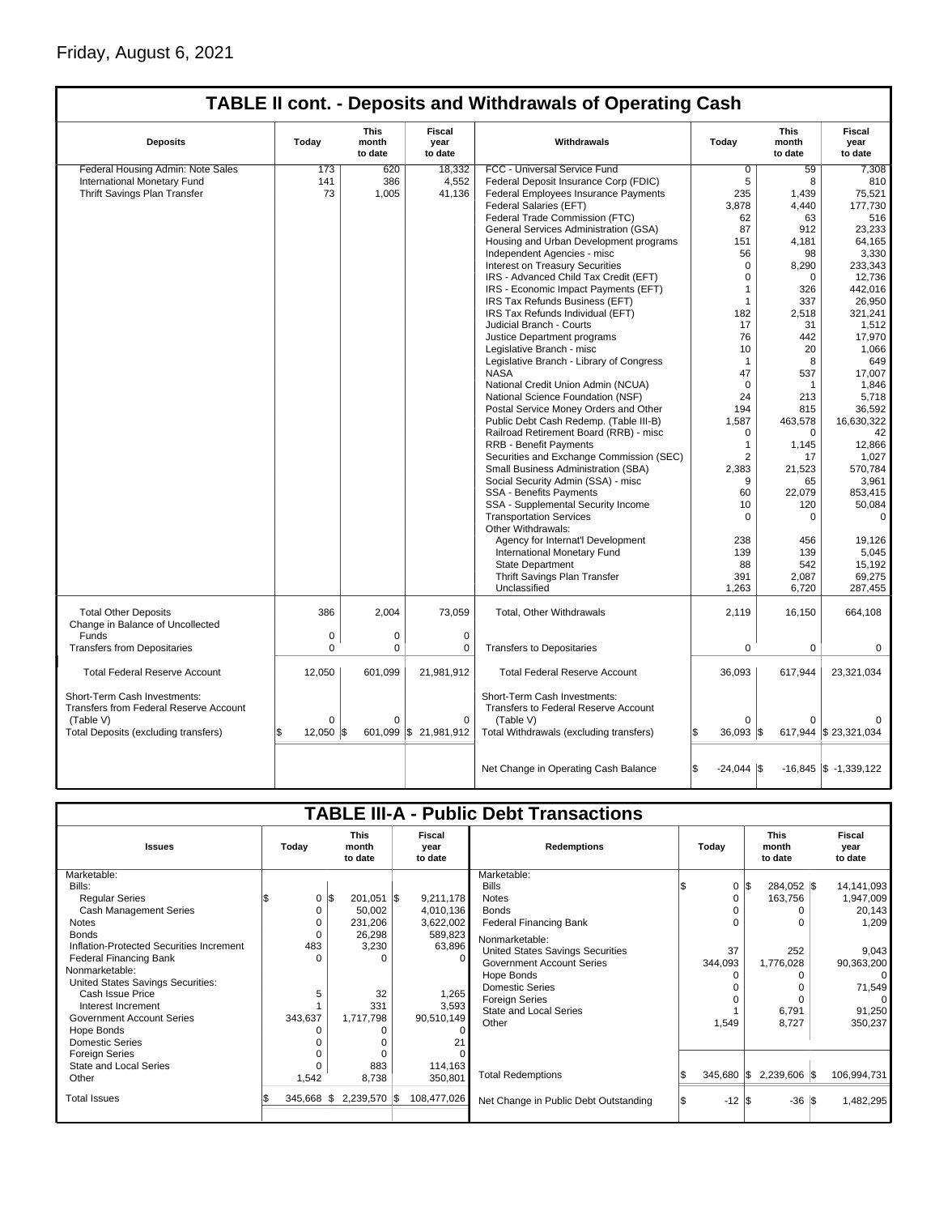## Friday, August 6, 2021

|                                                                      |                                                                                      |             |                      | TABLE II cont. - Deposits and Withdrawals of Operating Cash          |                           |          |                           |
|----------------------------------------------------------------------|--------------------------------------------------------------------------------------|-------------|----------------------|----------------------------------------------------------------------|---------------------------|----------|---------------------------|
| <b>Deposits</b>                                                      | This<br><b>Fiscal</b><br>Today<br>Withdrawals<br>month<br>year<br>to date<br>to date |             | Today                | This<br>month<br>to date                                             | Fiscal<br>year<br>to date |          |                           |
| Federal Housing Admin: Note Sales                                    | 173                                                                                  | 620         | 18,332               | FCC - Universal Service Fund                                         | $\overline{0}$            | 59       | 7,308                     |
| International Monetary Fund                                          | 141                                                                                  | 386         | 4,552                | Federal Deposit Insurance Corp (FDIC)                                | 5                         | 8        | 810                       |
| Thrift Savings Plan Transfer                                         | 73                                                                                   | 1,005       | 41,136               | Federal Employees Insurance Payments                                 | 235                       | 1,439    | 75,521                    |
|                                                                      |                                                                                      |             |                      | Federal Salaries (EFT)                                               | 3,878                     | 4,440    | 177,730                   |
|                                                                      |                                                                                      |             |                      | Federal Trade Commission (FTC)                                       | 62                        | 63       | 516                       |
|                                                                      |                                                                                      |             |                      | General Services Administration (GSA)                                | 87                        | 912      | 23,233                    |
|                                                                      |                                                                                      |             |                      | Housing and Urban Development programs                               | 151                       | 4,181    | 64,165                    |
|                                                                      |                                                                                      |             |                      | Independent Agencies - misc                                          | 56                        | 98       | 3,330                     |
|                                                                      |                                                                                      |             |                      | <b>Interest on Treasury Securities</b>                               | $\Omega$                  | 8,290    | 233,343                   |
|                                                                      |                                                                                      |             |                      | IRS - Advanced Child Tax Credit (EFT)                                | $\Omega$                  | $\Omega$ |                           |
|                                                                      |                                                                                      |             |                      |                                                                      |                           |          | 12,736                    |
|                                                                      |                                                                                      |             |                      | IRS - Economic Impact Payments (EFT)                                 | 1                         | 326      | 442.016                   |
|                                                                      |                                                                                      |             |                      | IRS Tax Refunds Business (EFT)                                       | $\overline{1}$            | 337      | 26,950                    |
|                                                                      |                                                                                      |             |                      | IRS Tax Refunds Individual (EFT)                                     | 182                       | 2,518    | 321,241                   |
|                                                                      |                                                                                      |             |                      | Judicial Branch - Courts                                             | 17                        | 31       | 1,512                     |
|                                                                      |                                                                                      |             |                      | Justice Department programs                                          | 76                        | 442      | 17,970                    |
|                                                                      |                                                                                      |             |                      | Legislative Branch - misc                                            | 10                        | 20       | 1,066                     |
|                                                                      |                                                                                      |             |                      | Legislative Branch - Library of Congress                             | $\mathbf 1$               | 8        | 649                       |
|                                                                      |                                                                                      |             |                      | <b>NASA</b>                                                          | 47                        | 537      | 17,007                    |
|                                                                      |                                                                                      |             |                      | National Credit Union Admin (NCUA)                                   | $\Omega$                  | 1        | 1,846                     |
|                                                                      |                                                                                      |             |                      | National Science Foundation (NSF)                                    | 24                        | 213      | 5,718                     |
|                                                                      |                                                                                      |             |                      | Postal Service Money Orders and Other                                | 194                       | 815      | 36,592                    |
|                                                                      |                                                                                      |             |                      | Public Debt Cash Redemp. (Table III-B)                               | 1,587                     | 463,578  | 16,630,322                |
|                                                                      |                                                                                      |             |                      | Railroad Retirement Board (RRB) - misc                               | $\Omega$                  | $\Omega$ | 42                        |
|                                                                      |                                                                                      |             |                      | RRB - Benefit Payments                                               | 1                         | 1,145    | 12,866                    |
|                                                                      |                                                                                      |             |                      | Securities and Exchange Commission (SEC)                             | $\overline{2}$            | 17       | 1,027                     |
|                                                                      |                                                                                      |             |                      | Small Business Administration (SBA)                                  | 2,383                     | 21,523   | 570,784                   |
|                                                                      |                                                                                      |             |                      | Social Security Admin (SSA) - misc                                   | 9                         | 65       | 3,961                     |
|                                                                      |                                                                                      |             |                      | <b>SSA - Benefits Payments</b>                                       | 60                        | 22,079   | 853.415                   |
|                                                                      |                                                                                      |             |                      | SSA - Supplemental Security Income                                   | 10                        | 120      | 50,084                    |
|                                                                      |                                                                                      |             |                      | <b>Transportation Services</b>                                       | $\Omega$                  | $\Omega$ | $\Omega$                  |
|                                                                      |                                                                                      |             |                      | Other Withdrawals:                                                   |                           |          |                           |
|                                                                      |                                                                                      |             |                      |                                                                      |                           |          |                           |
|                                                                      |                                                                                      |             |                      | Agency for Internat'l Development                                    | 238                       | 456      | 19.126                    |
|                                                                      |                                                                                      |             |                      | International Monetary Fund                                          | 139                       | 139      | 5,045                     |
|                                                                      |                                                                                      |             |                      | <b>State Department</b>                                              | 88                        | 542      | 15,192                    |
|                                                                      |                                                                                      |             |                      | Thrift Savings Plan Transfer                                         | 391                       | 2,087    | 69,275                    |
|                                                                      |                                                                                      |             |                      | Unclassified                                                         | 1,263                     | 6,720    | 287,455                   |
| <b>Total Other Deposits</b><br>Change in Balance of Uncollected      | 386                                                                                  | 2,004       | 73,059               | Total, Other Withdrawals                                             | 2,119                     | 16,150   | 664,108                   |
| Funds                                                                | 0                                                                                    | $\mathbf 0$ | $\mathbf 0$          |                                                                      |                           |          |                           |
| <b>Transfers from Depositaries</b>                                   | $\mathbf 0$                                                                          | $\Omega$    | 0                    | <b>Transfers to Depositaries</b>                                     | 0                         | 0        | 0                         |
|                                                                      |                                                                                      |             |                      |                                                                      |                           |          |                           |
| <b>Total Federal Reserve Account</b><br>Short-Term Cash Investments: | 12,050                                                                               | 601,099     | 21,981,912           | <b>Total Federal Reserve Account</b><br>Short-Term Cash Investments: | 36,093                    | 617,944  | 23,321,034                |
| Transfers from Federal Reserve Account                               |                                                                                      |             |                      | Transfers to Federal Reserve Account                                 |                           |          |                           |
| (Table V)                                                            | $\Omega$                                                                             | $\Omega$    | $\mathbf 0$          | (Table V)                                                            | $\Omega$                  | $\Omega$ |                           |
| Total Deposits (excluding transfers)                                 | 12,050<br>ß.                                                                         | l\$         | 601,099 \$21,981,912 | Total Withdrawals (excluding transfers)                              | 36,093<br>S.              | l\$      | 617,944 \$23,321,034      |
|                                                                      |                                                                                      |             |                      | Net Change in Operating Cash Balance                                 | S.<br>$-24.044$ \\$       |          | $-16,845$ \$ $-1,339,122$ |

# **TABLE III-A - Public Debt Transactions**

| <b>Issues</b>                                                                                                                                                                                                                                                                                                                                                                                                           | Today                                                                     | <b>This</b><br>month<br>to date                                                                | <b>Fiscal</b><br>year<br>to date                                                                                           | <b>Redemptions</b>                                                                                                                                                                                                                                                                                                            |  | Today                                                | <b>This</b><br>month<br>to date |                                                                                           | Fiscal<br>year<br>to date                                                                                                                       |
|-------------------------------------------------------------------------------------------------------------------------------------------------------------------------------------------------------------------------------------------------------------------------------------------------------------------------------------------------------------------------------------------------------------------------|---------------------------------------------------------------------------|------------------------------------------------------------------------------------------------|----------------------------------------------------------------------------------------------------------------------------|-------------------------------------------------------------------------------------------------------------------------------------------------------------------------------------------------------------------------------------------------------------------------------------------------------------------------------|--|------------------------------------------------------|---------------------------------|-------------------------------------------------------------------------------------------|-------------------------------------------------------------------------------------------------------------------------------------------------|
| Marketable:<br>Bills:<br><b>Regular Series</b><br>Cash Management Series<br>Notes<br><b>Bonds</b><br>Inflation-Protected Securities Increment<br><b>Federal Financing Bank</b><br>Nonmarketable:<br>United States Savings Securities:<br>Cash Issue Price<br>Interest Increment<br><b>Government Account Series</b><br>Hope Bonds<br><b>Domestic Series</b><br><b>Foreign Series</b><br>State and Local Series<br>Other | 0 <sup>8</sup><br>0<br>0<br>0<br>483<br>$\Omega$<br>5<br>343,637<br>1,542 | 201,051   \$<br>50,002<br>231,206<br>26,298<br>3,230<br>32<br>331<br>1,717,798<br>883<br>8,738 | 9,211,178<br>4,010,136<br>3,622,002<br>589,823<br>63,896<br>$\Omega$<br>1,265<br>3,593<br>90,510,149<br>114,163<br>350,801 | Marketable:<br><b>Bills</b><br><b>Notes</b><br><b>Bonds</b><br><b>Federal Financing Bank</b><br>Nonmarketable:<br>United States Savings Securities<br><b>Government Account Series</b><br>Hope Bonds<br><b>Domestic Series</b><br><b>Foreign Series</b><br><b>State and Local Series</b><br>Other<br><b>Total Redemptions</b> |  | 0<br>37<br>344,093<br>1,549<br>$345,680$ $\sqrt{\$}$ | $0 \,$ $\upbeta$                | 284,052 \$<br>163,756<br>$\Omega$<br>252<br>1,776,028<br>6,791<br>8,727<br>$2,239,606$ \$ | 14, 141, 093<br>1,947,009<br>20,143<br>1,209<br>9,043<br>90,363,200<br>$\overline{0}$<br>71,549<br>$\Omega$<br>91,250<br>350,237<br>106,994,731 |
| <b>Total Issues</b>                                                                                                                                                                                                                                                                                                                                                                                                     | $345,668$ \\$                                                             | 2,239,570 \$                                                                                   | 108,477,026                                                                                                                | Net Change in Public Debt Outstanding                                                                                                                                                                                                                                                                                         |  | $-12$ $\sqrt{3}$                                     |                                 | $-36$ $\sqrt{3}$                                                                          | 1,482,295                                                                                                                                       |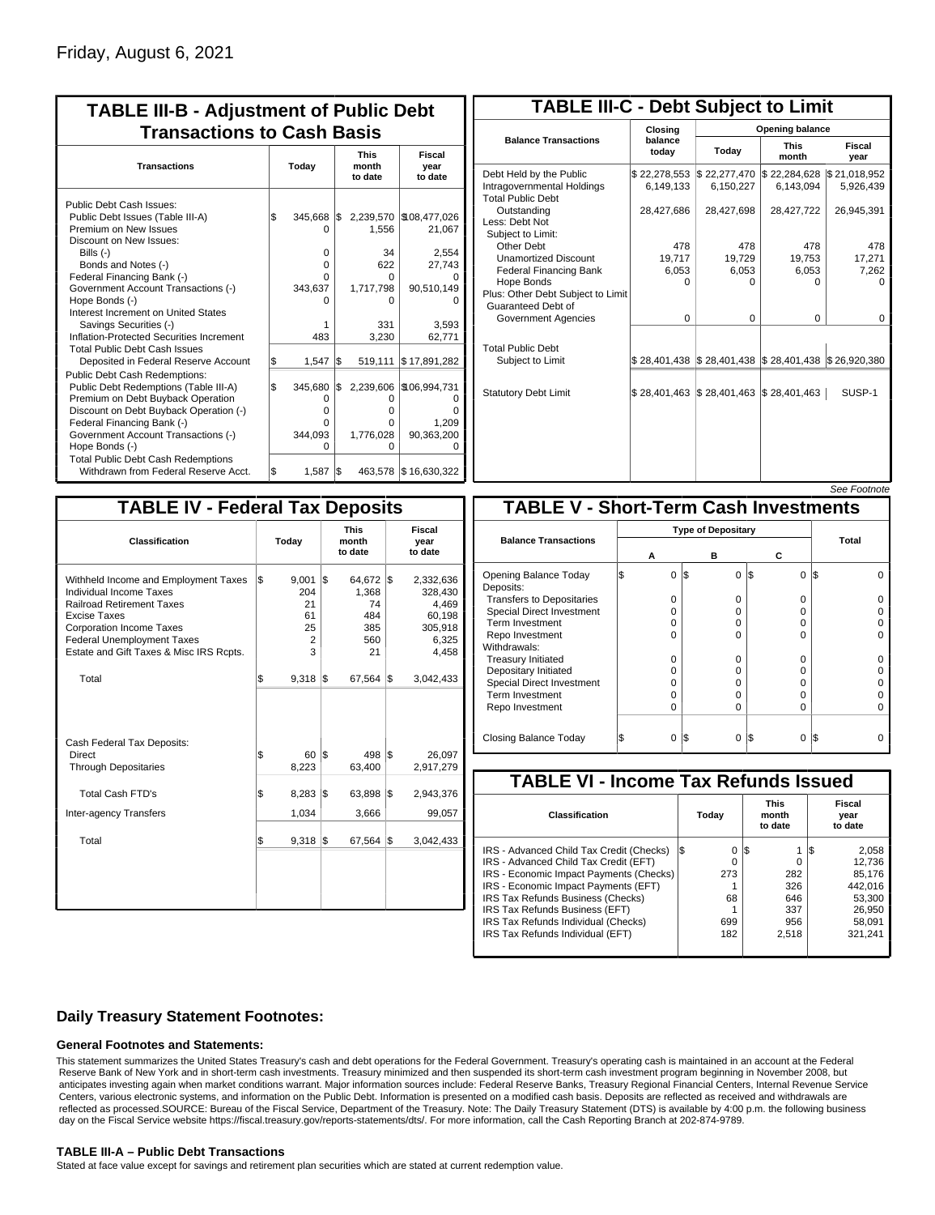| <b>TABLE III-B - Adjustment of Public Debt</b><br><b>Transactions to Cash Basis</b>                                                                                                                                                                                                                            |       |                                              |     |                                                               |                                                                   |  |  |                                 |                           |
|----------------------------------------------------------------------------------------------------------------------------------------------------------------------------------------------------------------------------------------------------------------------------------------------------------------|-------|----------------------------------------------|-----|---------------------------------------------------------------|-------------------------------------------------------------------|--|--|---------------------------------|---------------------------|
| <b>Transactions</b>                                                                                                                                                                                                                                                                                            | Today |                                              |     |                                                               |                                                                   |  |  | <b>This</b><br>month<br>to date | Fiscal<br>year<br>to date |
| Public Debt Cash Issues:<br>Public Debt Issues (Table III-A)<br>Premium on New Issues<br>Discount on New Issues:<br>Bills $(-)$<br>Bonds and Notes (-)<br>Federal Financing Bank (-)<br>Government Account Transactions (-)<br>Hope Bonds (-)<br>Interest Increment on United States<br>Savings Securities (-) | \$    | $345,668$ \\$<br>O<br>0<br>0<br>n<br>343,637 |     | 2,239,570<br>1,556<br>34<br>622<br>0<br>1,717,798<br>O<br>331 | \$108,477,026<br>21,067<br>2,554<br>27,743<br>90,510,149<br>3.593 |  |  |                                 |                           |
| Inflation-Protected Securities Increment<br><b>Total Public Debt Cash Issues</b><br>Deposited in Federal Reserve Account                                                                                                                                                                                       | \$    | 483<br>1,547                                 | 1\$ | 3,230<br>519,111                                              | 62,771<br>\$17,891,282                                            |  |  |                                 |                           |
| Public Debt Cash Redemptions:<br>Public Debt Redemptions (Table III-A)<br>Premium on Debt Buyback Operation<br>Discount on Debt Buyback Operation (-)<br>Federal Financing Bank (-)<br>Government Account Transactions (-)<br>Hope Bonds (-)<br><b>Total Public Debt Cash Redemptions</b>                      | l\$   | 345,680<br>0<br>o<br>n<br>344.093<br>U       | I\$ | 2,239,606<br>0<br>0<br>0<br>1,776,028<br>O                    | \$106,994,731<br>0<br>n<br>1.209<br>90,363,200<br>Ω               |  |  |                                 |                           |
| Withdrawn from Federal Reserve Acct.                                                                                                                                                                                                                                                                           | l\$   | 1,587                                        | l\$ |                                                               | 463,578 \$16,630,322                                              |  |  |                                 |                           |

| <b>TABLE III-C - Debt Subject to Limit</b>                                        |                           |                                                                                                     |                           |                           |
|-----------------------------------------------------------------------------------|---------------------------|-----------------------------------------------------------------------------------------------------|---------------------------|---------------------------|
|                                                                                   | Closing                   |                                                                                                     | Opening balance           |                           |
| <b>Balance Transactions</b>                                                       | balance<br>today          | Today                                                                                               | <b>This</b><br>month      | Fiscal<br>year            |
| Debt Held by the Public<br>Intragovernmental Holdings<br><b>Total Public Debt</b> | \$22,278,553<br>6,149,133 | \$22,277,470<br>6,150,227                                                                           | \$22,284,628<br>6,143,094 | \$21,018,952<br>5,926,439 |
| Outstanding<br>Less: Debt Not<br>Subject to Limit:                                | 28,427,686                | 28,427,698                                                                                          | 28,427,722                | 26,945,391                |
| Other Debt                                                                        | 478                       | 478                                                                                                 | 478                       | 478                       |
| <b>Unamortized Discount</b>                                                       | 19,717                    | 19,729                                                                                              | 19,753                    | 17,271                    |
| <b>Federal Financing Bank</b>                                                     | 6,053                     | 6,053                                                                                               | 6,053                     | 7,262                     |
| Hope Bonds<br>Plus: Other Debt Subject to Limit<br>Guaranteed Debt of             | 0                         | 0                                                                                                   | 0                         | o                         |
| Government Agencies                                                               | 0                         | $\Omega$                                                                                            | $\Omega$                  | 0                         |
| <b>Total Public Debt</b><br>Subject to Limit                                      |                           | $\frac{1}{2}$ 28,401,438 $\frac{1}{2}$ 28,401,438 $\frac{1}{2}$ 28,401,438 $\frac{1}{2}$ 26,920,380 |                           |                           |
| <b>Statutory Debt Limit</b>                                                       | \$28,401,463 \$28,401,463 |                                                                                                     | $\$28,401,463$            | SUSP-1                    |
|                                                                                   |                           |                                                                                                     |                           |                           |

| See Footnote |
|--------------|
|--------------|

| <b>TABLE IV - Federal Tax Deposits</b>                                                                                                                                                                                                        |                                                |                                                            |                                                                      |
|-----------------------------------------------------------------------------------------------------------------------------------------------------------------------------------------------------------------------------------------------|------------------------------------------------|------------------------------------------------------------|----------------------------------------------------------------------|
| Classification                                                                                                                                                                                                                                | Today                                          | <b>This</b><br>month<br>to date                            | Fiscal<br>year<br>to date                                            |
| Withheld Income and Employment Taxes<br>Individual Income Taxes<br><b>Railroad Retirement Taxes</b><br><b>Excise Taxes</b><br><b>Corporation Income Taxes</b><br><b>Federal Unemployment Taxes</b><br>Estate and Gift Taxes & Misc IRS Rcpts. | \$<br>9,001<br>204<br>21<br>61<br>25<br>2<br>3 | 1\$<br>64,672 \$<br>1,368<br>74<br>484<br>385<br>560<br>21 | 2,332,636<br>328,430<br>4,469<br>60,198<br>305,918<br>6,325<br>4,458 |
| Total                                                                                                                                                                                                                                         | $9,318$ \\$<br>l\$                             | 67,564                                                     | 1\$<br>3,042,433                                                     |
| Cash Federal Tax Deposits:<br>Direct<br><b>Through Depositaries</b>                                                                                                                                                                           | \$<br>60<br>8,223                              | l\$<br>498<br>63,400                                       | 1\$<br>26,097<br>2,917,279                                           |
| <b>Total Cash FTD's</b>                                                                                                                                                                                                                       | <b>S</b><br>8,283                              | 1\$<br>63,898                                              | 1\$<br>2,943,376                                                     |
| Inter-agency Transfers                                                                                                                                                                                                                        | 1,034                                          | 3,666                                                      | 99,057                                                               |
| Total                                                                                                                                                                                                                                         | $9,318$ $\sqrt{5}$<br>\$                       | 67,564                                                     | Ι\$<br>3,042,433                                                     |
|                                                                                                                                                                                                                                               |                                                |                                                            |                                                                      |

|                                              |  |   |     |                           |                |     | JEE LOONIOIE |  |  |  |  |
|----------------------------------------------|--|---|-----|---------------------------|----------------|-----|--------------|--|--|--|--|
| <b>TABLE V - Short-Term Cash Investments</b> |  |   |     |                           |                |     |              |  |  |  |  |
|                                              |  |   |     | <b>Type of Depositary</b> |                |     |              |  |  |  |  |
| <b>Balance Transactions</b>                  |  | А | в   |                           | С              |     | Total        |  |  |  |  |
| Opening Balance Today<br>Deposits:           |  | 0 | 1\$ | 0                         | \$<br>$\Omega$ | I\$ |              |  |  |  |  |
| <b>Transfers to Depositaries</b>             |  | O |     | 0                         | 0              |     |              |  |  |  |  |
| <b>Special Direct Investment</b>             |  | O |     | O                         | 0              |     |              |  |  |  |  |
| <b>Term Investment</b>                       |  | O |     | O                         | 0              |     |              |  |  |  |  |
| Repo Investment                              |  | O |     | O                         | O              |     |              |  |  |  |  |
| Withdrawals:                                 |  |   |     |                           |                |     |              |  |  |  |  |
| <b>Treasury Initiated</b>                    |  | 0 |     | 0                         | 0              |     |              |  |  |  |  |
| Depositary Initiated                         |  | O |     | O                         | 0              |     |              |  |  |  |  |
| <b>Special Direct Investment</b>             |  | Ω |     | Ω                         | 0              |     |              |  |  |  |  |
| <b>Term Investment</b>                       |  | ი |     | O                         | 0              |     |              |  |  |  |  |
| Repo Investment                              |  | O |     | 0                         | 0              |     |              |  |  |  |  |
| Closing Balance Today                        |  | 0 | I\$ | 0                         | S<br>0         | 1\$ |              |  |  |  |  |

| <b>TABLE VI - Income Tax Refunds Issued</b> |     |       |     |                                 |     |                           |  |  |  |  |  |
|---------------------------------------------|-----|-------|-----|---------------------------------|-----|---------------------------|--|--|--|--|--|
| Classification                              |     | Today |     | <b>This</b><br>month<br>to date |     | Fiscal<br>year<br>to date |  |  |  |  |  |
| IRS - Advanced Child Tax Credit (Checks)    | l\$ | 0     | 1\$ |                                 | 135 | 2,058                     |  |  |  |  |  |
| IRS - Advanced Child Tax Credit (EFT)       |     | 0     |     |                                 |     | 12.736                    |  |  |  |  |  |
| IRS - Economic Impact Payments (Checks)     |     | 273   |     | 282                             |     | 85.176                    |  |  |  |  |  |
| IRS - Economic Impact Payments (EFT)        |     |       |     | 326                             |     | 442.016                   |  |  |  |  |  |
| IRS Tax Refunds Business (Checks)           |     | 68    |     | 646                             |     | 53.300                    |  |  |  |  |  |
| IRS Tax Refunds Business (EFT)              |     |       |     | 337                             |     | 26,950                    |  |  |  |  |  |
| IRS Tax Refunds Individual (Checks)         |     | 699   |     | 956                             |     | 58.091                    |  |  |  |  |  |
| IRS Tax Refunds Individual (EFT)            |     | 182   |     | 2.518                           |     | 321.241                   |  |  |  |  |  |

### **Daily Treasury Statement Footnotes:**

### **General Footnotes and Statements:**

This statement summarizes the United States Treasury's cash and debt operations for the Federal Government. Treasury's operating cash is maintained in an account at the Federal Reserve Bank of New York and in short-term cash investments. Treasury minimized and then suspended its short-term cash investment program beginning in November 2008, but anticipates investing again when market conditions warrant. Major information sources include: Federal Reserve Banks, Treasury Regional Financial Centers, Internal Revenue Service Centers, various electronic systems, and information on the Public Debt. Information is presented on a modified cash basis. Deposits are reflected as received and withdrawals are reflected as processed.SOURCE: Bureau of the Fiscal Service, Department of the Treasury. Note: The Daily Treasury Statement (DTS) is available by 4:00 p.m. the following business day on the Fiscal Service website https://fiscal.treasury.gov/reports-statements/dts/. For more information, call the Cash Reporting Branch at 202-874-9789.

### **TABLE III-A – Public Debt Transactions**

Stated at face value except for savings and retirement plan securities which are stated at current redemption value.